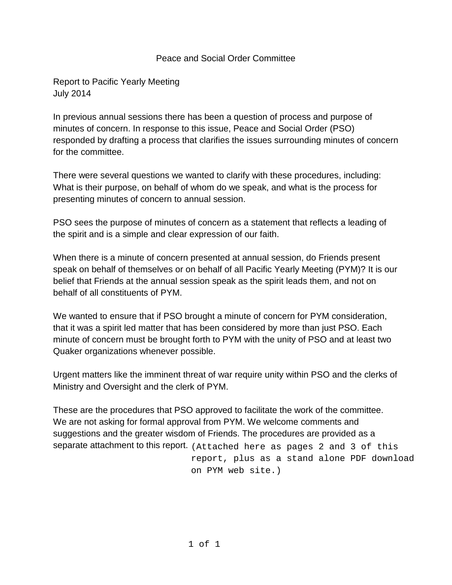#### Peace and Social Order Committee

Report to Pacific Yearly Meeting July 2014

In previous annual sessions there has been a question of process and purpose of minutes of concern. In response to this issue, Peace and Social Order (PSO) responded by drafting a process that clarifies the issues surrounding minutes of concern for the committee.

There were several questions we wanted to clarify with these procedures, including: What is their purpose, on behalf of whom do we speak, and what is the process for presenting minutes of concern to annual session.

PSO sees the purpose of minutes of concern as a statement that reflects a leading of the spirit and is a simple and clear expression of our faith.

When there is a minute of concern presented at annual session, do Friends present speak on behalf of themselves or on behalf of all Pacific Yearly Meeting (PYM)? It is our belief that Friends at the annual session speak as the spirit leads them, and not on behalf of all constituents of PYM.

We wanted to ensure that if PSO brought a minute of concern for PYM consideration, that it was a spirit led matter that has been considered by more than just PSO. Each minute of concern must be brought forth to PYM with the unity of PSO and at least two Quaker organizations whenever possible.

Urgent matters like the imminent threat of war require unity within PSO and the clerks of Ministry and Oversight and the clerk of PYM.

These are the procedures that PSO approved to facilitate the work of the committee. We are not asking for formal approval from PYM. We welcome comments and suggestions and the greater wisdom of Friends. The procedures are provided as a separate attachment to this report. (Attached here as pages 2 and 3 of this [report, plus as a stand alone PDF download](http://www.pacificyearlymeeting.org/wordpress/wp-content/uploads/2014/07/ProcedureForPresentingMinutesOfConcern.pdf)  on PYM web site.)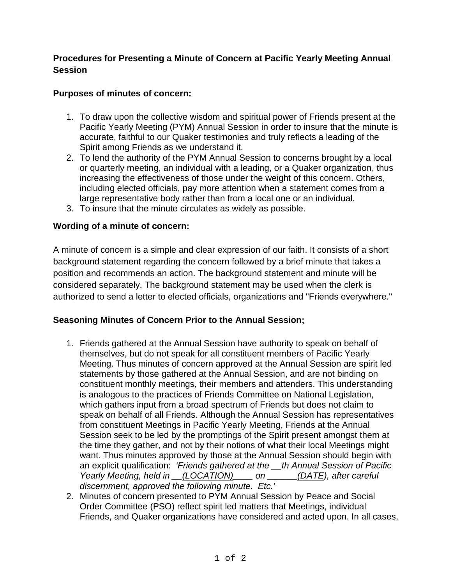# **Procedures for Presenting a Minute of Concern at Pacific Yearly Meeting Annual Session**

# **Purposes of minutes of concern:**

- 1. To draw upon the collective wisdom and spiritual power of Friends present at the Pacific Yearly Meeting (PYM) Annual Session in order to insure that the minute is accurate, faithful to our Quaker testimonies and truly reflects a leading of the Spirit among Friends as we understand it.
- 2. To lend the authority of the PYM Annual Session to concerns brought by a local or quarterly meeting, an individual with a leading, or a Quaker organization, thus increasing the effectiveness of those under the weight of this concern. Others, including elected officials, pay more attention when a statement comes from a large representative body rather than from a local one or an individual.
- 3. To insure that the minute circulates as widely as possible.

#### **Wording of a minute of concern:**

A minute of concern is a simple and clear expression of our faith. It consists of a short background statement regarding the concern followed by a brief minute that takes a position and recommends an action. The background statement and minute will be considered separately. The background statement may be used when the clerk is authorized to send a letter to elected officials, organizations and "Friends everywhere."

# **Seasoning Minutes of Concern Prior to the Annual Session;**

- 1. Friends gathered at the Annual Session have authority to speak on behalf of themselves, but do not speak for all constituent members of Pacific Yearly Meeting. Thus minutes of concern approved at the Annual Session are spirit led statements by those gathered at the Annual Session, and are not binding on constituent monthly meetings, their members and attenders. This understanding is analogous to the practices of Friends Committee on National Legislation, which gathers input from a broad spectrum of Friends but does not claim to speak on behalf of all Friends. Although the Annual Session has representatives from constituent Meetings in Pacific Yearly Meeting, Friends at the Annual Session seek to be led by the promptings of the Spirit present amongst them at the time they gather, and not by their notions of what their local Meetings might want. Thus minutes approved by those at the Annual Session should begin with an explicit qualification: *'Friends gathered at the \_\_th Annual Session of Pacific Yearly Meeting, held in \_\_(LOCATION)\_\_\_\_ on \_\_\_\_\_\_(DATE), after careful discernment, approved the following minute. Etc.'*
- 2. Minutes of concern presented to PYM Annual Session by Peace and Social Order Committee (PSO) reflect spirit led matters that Meetings, individual Friends, and Quaker organizations have considered and acted upon. In all cases,